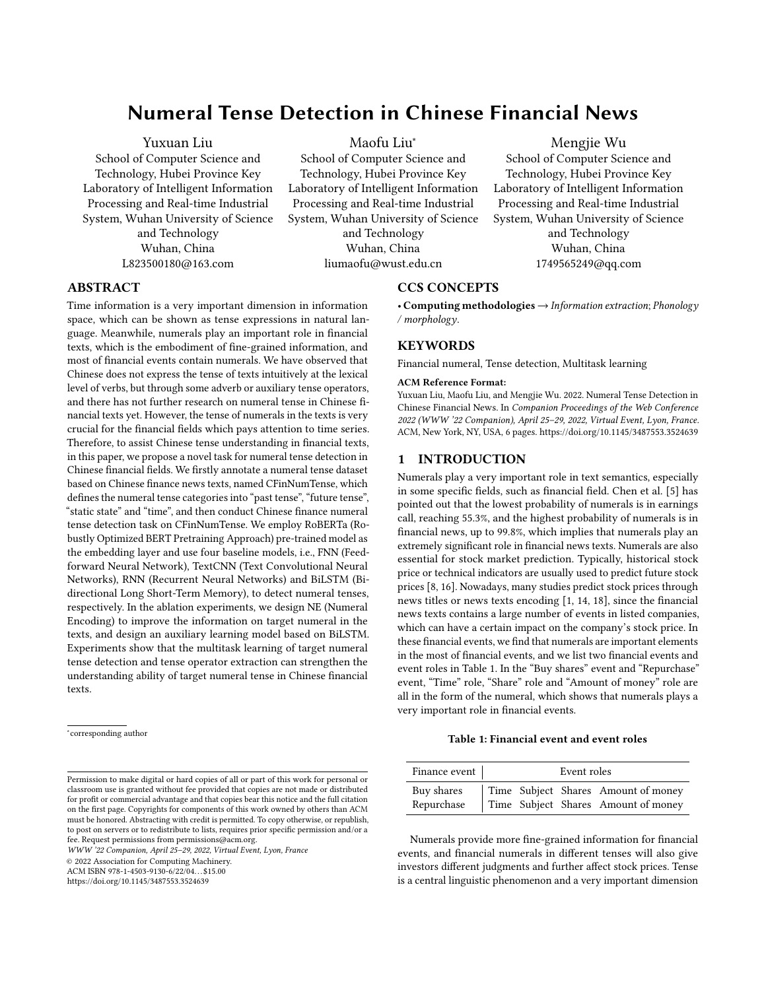# Numeral Tense Detection in Chinese Financial News

## Yuxuan Liu

School of Computer Science and Technology, Hubei Province Key Laboratory of Intelligent Information Processing and Real-time Industrial System, Wuhan University of Science and Technology Wuhan, China L823500180@163.com

Maofu Liu<sup>∗</sup>

School of Computer Science and Technology, Hubei Province Key Laboratory of Intelligent Information Processing and Real-time Industrial System, Wuhan University of Science and Technology Wuhan, China

liumaofu@wust.edu.cn

# Mengjie Wu

School of Computer Science and Technology, Hubei Province Key Laboratory of Intelligent Information Processing and Real-time Industrial System, Wuhan University of Science and Technology Wuhan, China 1749565249@qq.com

# ABSTRACT

Time information is a very important dimension in information space, which can be shown as tense expressions in natural language. Meanwhile, numerals play an important role in financial texts, which is the embodiment of fine-grained information, and most of financial events contain numerals. We have observed that Chinese does not express the tense of texts intuitively at the lexical level of verbs, but through some adverb or auxiliary tense operators, and there has not further research on numeral tense in Chinese financial texts yet. However, the tense of numerals in the texts is very crucial for the financial fields which pays attention to time series. Therefore, to assist Chinese tense understanding in financial texts, in this paper, we propose a novel task for numeral tense detection in Chinese financial fields. We firstly annotate a numeral tense dataset based on Chinese finance news texts, named CFinNumTense, which defines the numeral tense categories into "past tense", "future tense", "static state" and "time", and then conduct Chinese finance numeral tense detection task on CFinNumTense. We employ RoBERTa (Robustly Optimized BERT Pretraining Approach) pre-trained model as the embedding layer and use four baseline models, i.e., FNN (Feedforward Neural Network), TextCNN (Text Convolutional Neural Networks), RNN (Recurrent Neural Networks) and BiLSTM (Bidirectional Long Short-Term Memory), to detect numeral tenses, respectively. In the ablation experiments, we design NE (Numeral Encoding) to improve the information on target numeral in the texts, and design an auxiliary learning model based on BiLSTM. Experiments show that the multitask learning of target numeral tense detection and tense operator extraction can strengthen the understanding ability of target numeral tense in Chinese financial texts.

∗ corresponding author

# CCS CONCEPTS

• Computing methodologies  $\rightarrow$  Information extraction; Phonology / morphology.

### KEYWORDS

Financial numeral, Tense detection, Multitask learning

#### ACM Reference Format:

Yuxuan Liu, Maofu Liu, and Mengjie Wu. 2022. Numeral Tense Detection in Chinese Financial News. In Companion Proceedings of the Web Conference 2022 (WWW '22 Companion), April 25–29, 2022, Virtual Event, Lyon, France. ACM, New York, NY, USA, [6](#page-5-0) pages.<https://doi.org/10.1145/3487553.3524639>

# 1 INTRODUCTION

Numerals play a very important role in text semantics, especially in some specific fields, such as financial field. Chen et al. [\[5\]](#page-5-1) has pointed out that the lowest probability of numerals is in earnings call, reaching 55.3%, and the highest probability of numerals is in financial news, up to 99.8%, which implies that numerals play an extremely significant role in financial news texts. Numerals are also essential for stock market prediction. Typically, historical stock price or technical indicators are usually used to predict future stock prices [\[8,](#page-5-2) [16\]](#page-5-3). Nowadays, many studies predict stock prices through news titles or news texts encoding [\[1,](#page-5-4) [14,](#page-5-5) [18\]](#page-5-6), since the financial news texts contains a large number of events in listed companies, which can have a certain impact on the company's stock price. In these financial events, we find that numerals are important elements in the most of financial events, and we list two financial events and event roles in Table 1. In the "Buy shares" event and "Repurchase" event, "Time" role, "Share" role and "Amount of money" role are all in the form of the numeral, which shows that numerals plays a very important role in financial events.

#### Table 1: Financial event and event roles

WWW '22 Companion, April 25–29, 2022, Virtual Event, Lyon, France

© 2022 Association for Computing Machinery.

ACM ISBN 978-1-4503-9130-6/22/04. . . \$15.00

<https://doi.org/10.1145/3487553.3524639>

| Finance event            | Event roles |  |  |                                                                            |
|--------------------------|-------------|--|--|----------------------------------------------------------------------------|
| Buy shares<br>Repurchase |             |  |  | Time Subject Shares Amount of money<br>Time Subject Shares Amount of money |

Numerals provide more fine-grained information for financial events, and financial numerals in different tenses will also give investors different judgments and further affect stock prices. Tense is a central linguistic phenomenon and a very important dimension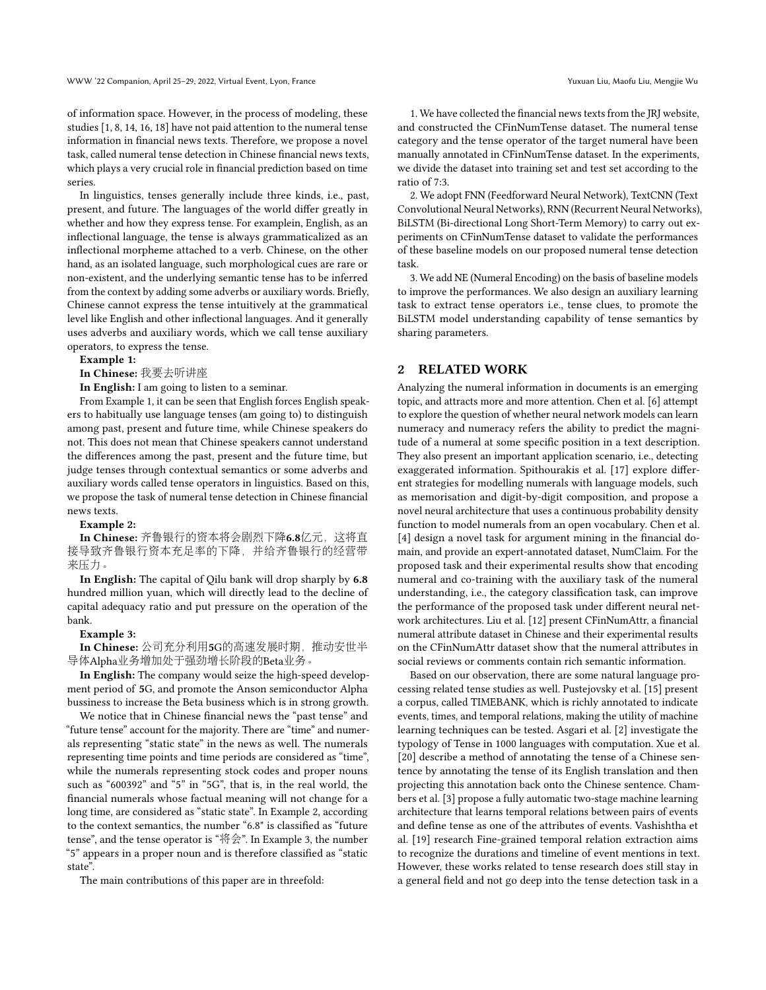of information space. However, in the process of modeling, these studies [\[1,](#page-5-4) [8,](#page-5-2) [14,](#page-5-5) [16,](#page-5-3) [18\]](#page-5-6) have not paid attention to the numeral tense information in financial news texts. Therefore, we propose a novel task, called numeral tense detection in Chinese financial news texts, which plays a very crucial role in financial prediction based on time series.

In linguistics, tenses generally include three kinds, i.e., past, present, and future. The languages of the world differ greatly in whether and how they express tense. For examplein, English, as an inflectional language, the tense is always grammaticalized as an inflectional morpheme attached to a verb. Chinese, on the other hand, as an isolated language, such morphological cues are rare or non-existent, and the underlying semantic tense has to be inferred from the context by adding some adverbs or auxiliary words. Briefly, Chinese cannot express the tense intuitively at the grammatical level like English and other inflectional languages. And it generally uses adverbs and auxiliary words, which we call tense auxiliary operators, to express the tense.

#### Example 1:

In Chinese: 我要去听讲<sup>座</sup>

In English: I am going to listen to a seminar.

From Example 1, it can be seen that English forces English speakers to habitually use language tenses (am going to) to distinguish among past, present and future time, while Chinese speakers do not. This does not mean that Chinese speakers cannot understand the differences among the past, present and the future time, but judge tenses through contextual semantics or some adverbs and auxiliary words called tense operators in linguistics. Based on this, we propose the task of numeral tense detection in Chinese financial news texts.

#### Example 2:

In Chinese: 齐鲁银行的资本将会剧烈下降6.8亿元, 这将直 <sup>接</sup>导致齐鲁银行资本充足率的下降,并给齐鲁银行的经营<sup>带</sup> 来压力。

In English: The capital of Qilu bank will drop sharply by 6.8 hundred million yuan, which will directly lead to the decline of capital adequacy ratio and put pressure on the operation of the bank.

#### Example 3:

In Chinese: <sup>公</sup>司充分利用5G的高速发展时期,推动安世<sup>半</sup> <sup>导</sup>体Alpha业务增加处于强劲增长阶段的Beta业务。

In English: The company would seize the high-speed development period of 5G, and promote the Anson semiconductor Alpha bussiness to increase the Beta business which is in strong growth.

We notice that in Chinese financial news the "past tense" and "future tense" account for the majority. There are "time" and numerals representing "static state" in the news as well. The numerals representing time points and time periods are considered as "time", while the numerals representing stock codes and proper nouns such as "600392" and "5" in "5G", that is, in the real world, the financial numerals whose factual meaning will not change for a long time, are considered as "static state". In Example 2, according to the context semantics, the number "6.8" is classified as "future tense", and the tense operator is "将会". In Example 3, the number "5" appears in a proper noun and is therefore classified as "static state".

The main contributions of this paper are in threefold:

1. We have collected the financial news texts from the JRJ website, and constructed the CFinNumTense dataset. The numeral tense category and the tense operator of the target numeral have been manually annotated in CFinNumTense dataset. In the experiments, we divide the dataset into training set and test set according to the ratio of 7:3.

2. We adopt FNN (Feedforward Neural Network), TextCNN (Text Convolutional Neural Networks), RNN (Recurrent Neural Networks), BiLSTM (Bi-directional Long Short-Term Memory) to carry out experiments on CFinNumTense dataset to validate the performances of these baseline models on our proposed numeral tense detection task.

3. We add NE (Numeral Encoding) on the basis of baseline models to improve the performances. We also design an auxiliary learning task to extract tense operators i.e., tense clues, to promote the BiLSTM model understanding capability of tense semantics by sharing parameters.

### 2 RELATED WORK

Analyzing the numeral information in documents is an emerging topic, and attracts more and more attention. Chen et al. [\[6\]](#page-5-7) attempt to explore the question of whether neural network models can learn numeracy and numeracy refers the ability to predict the magnitude of a numeral at some specific position in a text description. They also present an important application scenario, i.e., detecting exaggerated information. Spithourakis et al. [\[17\]](#page-5-8) explore different strategies for modelling numerals with language models, such as memorisation and digit-by-digit composition, and propose a novel neural architecture that uses a continuous probability density function to model numerals from an open vocabulary. Chen et al. [\[4\]](#page-5-9) design a novel task for argument mining in the financial domain, and provide an expert-annotated dataset, NumClaim. For the proposed task and their experimental results show that encoding numeral and co-training with the auxiliary task of the numeral understanding, i.e., the category classification task, can improve the performance of the proposed task under different neural network architectures. Liu et al. [\[12\]](#page-5-10) present CFinNumAttr, a financial numeral attribute dataset in Chinese and their experimental results on the CFinNumAttr dataset show that the numeral attributes in social reviews or comments contain rich semantic information.

Based on our observation, there are some natural language processing related tense studies as well. Pustejovsky et al. [\[15\]](#page-5-11) present a corpus, called TIMEBANK, which is richly annotated to indicate events, times, and temporal relations, making the utility of machine learning techniques can be tested. Asgari et al. [\[2\]](#page-5-12) investigate the typology of Tense in 1000 languages with computation. Xue et al. [\[20\]](#page-5-13) describe a method of annotating the tense of a Chinese sentence by annotating the tense of its English translation and then projecting this annotation back onto the Chinese sentence. Chambers et al. [\[3\]](#page-5-14) propose a fully automatic two-stage machine learning architecture that learns temporal relations between pairs of events and define tense as one of the attributes of events. Vashishtha et al. [\[19\]](#page-5-15) research Fine-grained temporal relation extraction aims to recognize the durations and timeline of event mentions in text. However, these works related to tense research does still stay in a general field and not go deep into the tense detection task in a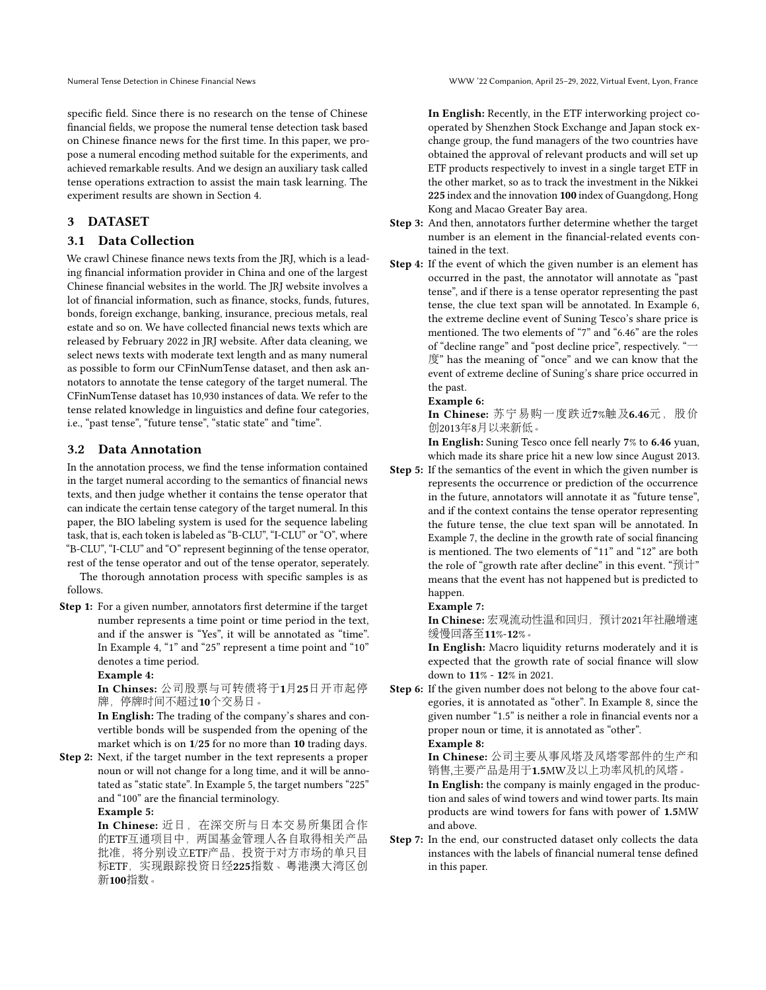specific field. Since there is no research on the tense of Chinese financial fields, we propose the numeral tense detection task based on Chinese finance news for the first time. In this paper, we propose a numeral encoding method suitable for the experiments, and achieved remarkable results. And we design an auxiliary task called tense operations extraction to assist the main task learning. The experiment results are shown in Section 4.

# 3 DATASET

# 3.1 Data Collection

We crawl Chinese finance news texts from the JRJ, which is a leading financial information provider in China and one of the largest Chinese financial websites in the world. The JRJ website involves a lot of financial information, such as finance, stocks, funds, futures, bonds, foreign exchange, banking, insurance, precious metals, real estate and so on. We have collected financial news texts which are released by February 2022 in JRJ website. After data cleaning, we select news texts with moderate text length and as many numeral as possible to form our CFinNumTense dataset, and then ask annotators to annotate the tense category of the target numeral. The CFinNumTense dataset has 10,930 instances of data. We refer to the tense related knowledge in linguistics and define four categories, i.e., "past tense", "future tense", "static state" and "time".

### 3.2 Data Annotation

In the annotation process, we find the tense information contained in the target numeral according to the semantics of financial news texts, and then judge whether it contains the tense operator that can indicate the certain tense category of the target numeral. In this paper, the BIO labeling system is used for the sequence labeling task, that is, each token is labeled as "B-CLU", "I-CLU" or "O", where "B-CLU", "I-CLU" and "O" represent beginning of the tense operator, rest of the tense operator and out of the tense operator, seperately.

The thorough annotation process with specific samples is as follows.

Step 1: For a given number, annotators first determine if the target number represents a time point or time period in the text, and if the answer is "Yes", it will be annotated as "time". In Example 4, "1" and "25" represent a time point and "10" denotes a time period.

### Example 4:

In Chinses: <sup>公</sup>司股票与可转债将于1月25日开市起<sup>停</sup> 牌,停牌时间不超过10个交易日。

In English: The trading of the company's shares and convertible bonds will be suspended from the opening of the market which is on 1/25 for no more than 10 trading days.

Step 2: Next, if the target number in the text represents a proper noun or will not change for a long time, and it will be annotated as "static state". In Example 5, the target numbers "225" and "100" are the financial terminology.

### Example 5:

In Chinese: 近日, 在深交所与日本交易所集团合作 <sup>的</sup>ETF互通项目中,两国基金管理人各自取得相关产<sup>品</sup> 批准,将分别设立ETF产品,投资于对方市场的单只<sup>目</sup> 标ETF, 实现跟踪投资日经225指数、粤港澳大湾区创 新100指数。

In English: Recently, in the ETF interworking project cooperated by Shenzhen Stock Exchange and Japan stock exchange group, the fund managers of the two countries have obtained the approval of relevant products and will set up ETF products respectively to invest in a single target ETF in the other market, so as to track the investment in the Nikkei 225 index and the innovation 100 index of Guangdong, Hong Kong and Macao Greater Bay area.

- Step 3: And then, annotators further determine whether the target number is an element in the financial-related events contained in the text.
- Step 4: If the event of which the given number is an element has occurred in the past, the annotator will annotate as "past tense", and if there is a tense operator representing the past tense, the clue text span will be annotated. In Example 6, the extreme decline event of Suning Tesco's share price is mentioned. The two elements of "7" and "6.46" are the roles of "decline range" and "post decline price", respectively. "一 度" has the meaning of "once" and we can know that the event of extreme decline of Suning's share price occurred in the past.

#### Example 6:

In Chinese: 苏宁易购一度跌近7%触及6.46元, 股价 创2013年8月以来新低。

In English: Suning Tesco once fell nearly 7% to 6.46 yuan, which made its share price hit a new low since August 2013.

Step 5: If the semantics of the event in which the given number is represents the occurrence or prediction of the occurrence in the future, annotators will annotate it as "future tense", and if the context contains the tense operator representing the future tense, the clue text span will be annotated. In Example 7, the decline in the growth rate of social financing is mentioned. The two elements of "11" and "12" are both the role of "growth rate after decline" in this event. "预计" means that the event has not happened but is predicted to happen.

#### Example 7:

In Chinese: 宏观流动性温和回归, 预计2021年社融增速 <sup>缓</sup>慢回落至11%-12%。

In English: Macro liquidity returns moderately and it is expected that the growth rate of social finance will slow down to 11% - 12% in 2021.

Step 6: If the given number does not belong to the above four categories, it is annotated as "other". In Example 8, since the given number "1.5" is neither a role in financial events nor a proper noun or time, it is annotated as "other". Example 8:

In Chinese: <sup>公</sup>司主要从事风塔及风塔零部件的生产<sup>和</sup> <sup>销</sup>售,主要产品是用于1.5MW及以上功率风机的风塔。

In English: the company is mainly engaged in the production and sales of wind towers and wind tower parts. Its main products are wind towers for fans with power of 1.5MW and above.

Step 7: In the end, our constructed dataset only collects the data instances with the labels of financial numeral tense defined in this paper.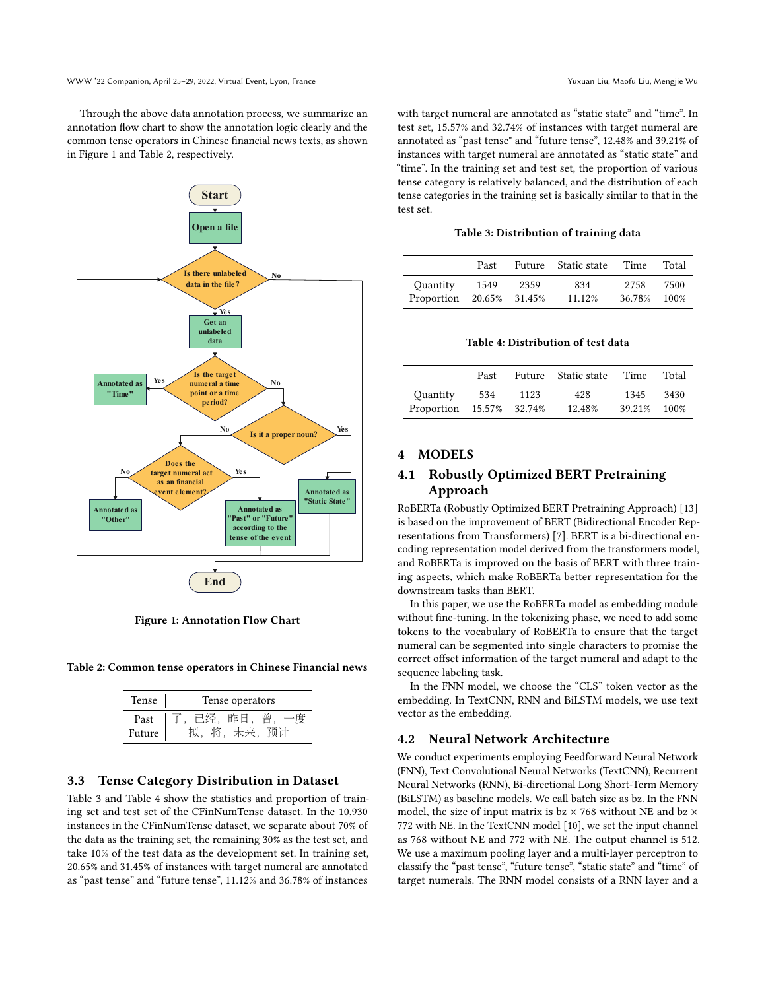Through the above data annotation process, we summarize an annotation flow chart to show the annotation logic clearly and the common tense operators in Chinese financial news texts, as shown in Figure 1 and Table 2, respectively.



Figure 1: Annotation Flow Chart

Table 2: Common tense operators in Chinese Financial news

| Tense  | Tense operators |  |  |
|--------|-----------------|--|--|
| Past   | 已经,昨日,曾,        |  |  |
| Future | , 未来, 预计        |  |  |

### 3.3 Tense Category Distribution in Dataset

Table 3 and Table 4 show the statistics and proportion of training set and test set of the CFinNumTense dataset. In the 10,930 instances in the CFinNumTense dataset, we separate about 70% of the data as the training set, the remaining 30% as the test set, and take 10% of the test data as the development set. In training set, 20.65% and 31.45% of instances with target numeral are annotated as "past tense" and "future tense", 11.12% and 36.78% of instances

with target numeral are annotated as "static state" and "time". In test set, 15.57% and 32.74% of instances with target numeral are annotated as "past tense" and "future tense", 12.48% and 39.21% of instances with target numeral are annotated as "static state" and "time". In the training set and test set, the proportion of various tense category is relatively balanced, and the distribution of each tense categories in the training set is basically similar to that in the test set.

#### Table 3: Distribution of training data

|                                                |  | Past Future Static state Time Total |             |  |
|------------------------------------------------|--|-------------------------------------|-------------|--|
|                                                |  | 834                                 | 2758 7500   |  |
| Quantity 1549 2359<br>Proportion 20.65% 31.45% |  | 11.12%                              | 36.78% 100% |  |

#### Table 4: Distribution of test data

|                                                                          |  | Past Future Static state Time Total |             |  |
|--------------------------------------------------------------------------|--|-------------------------------------|-------------|--|
|                                                                          |  | 428                                 | 1345 3430   |  |
| Quantity $\begin{vmatrix} 534 & 1123 \\ 15.57\% & 32.74\% \end{vmatrix}$ |  | 12.48%                              | 39.21% 100% |  |

### 4 MODELS

# 4.1 Robustly Optimized BERT Pretraining Approach

RoBERTa (Robustly Optimized BERT Pretraining Approach) [\[13\]](#page-5-16) is based on the improvement of BERT (Bidirectional Encoder Representations from Transformers) [\[7\]](#page-5-17). BERT is a bi-directional encoding representation model derived from the transformers model, and RoBERTa is improved on the basis of BERT with three training aspects, which make RoBERTa better representation for the downstream tasks than BERT.

In this paper, we use the RoBERTa model as embedding module without fine-tuning. In the tokenizing phase, we need to add some tokens to the vocabulary of RoBERTa to ensure that the target numeral can be segmented into single characters to promise the correct offset information of the target numeral and adapt to the sequence labeling task.

In the FNN model, we choose the "CLS" token vector as the embedding. In TextCNN, RNN and BiLSTM models, we use text vector as the embedding.

### 4.2 Neural Network Architecture

We conduct experiments employing Feedforward Neural Network (FNN), Text Convolutional Neural Networks (TextCNN), Recurrent Neural Networks (RNN), Bi-directional Long Short-Term Memory (BiLSTM) as baseline models. We call batch size as bz. In the FNN model, the size of input matrix is  $bz \times 768$  without NE and  $bz \times$ 772 with NE. In the TextCNN model [\[10\]](#page-5-18), we set the input channel as 768 without NE and 772 with NE. The output channel is 512. We use a maximum pooling layer and a multi-layer perceptron to classify the "past tense", "future tense", "static state" and "time" of target numerals. The RNN model consists of a RNN layer and a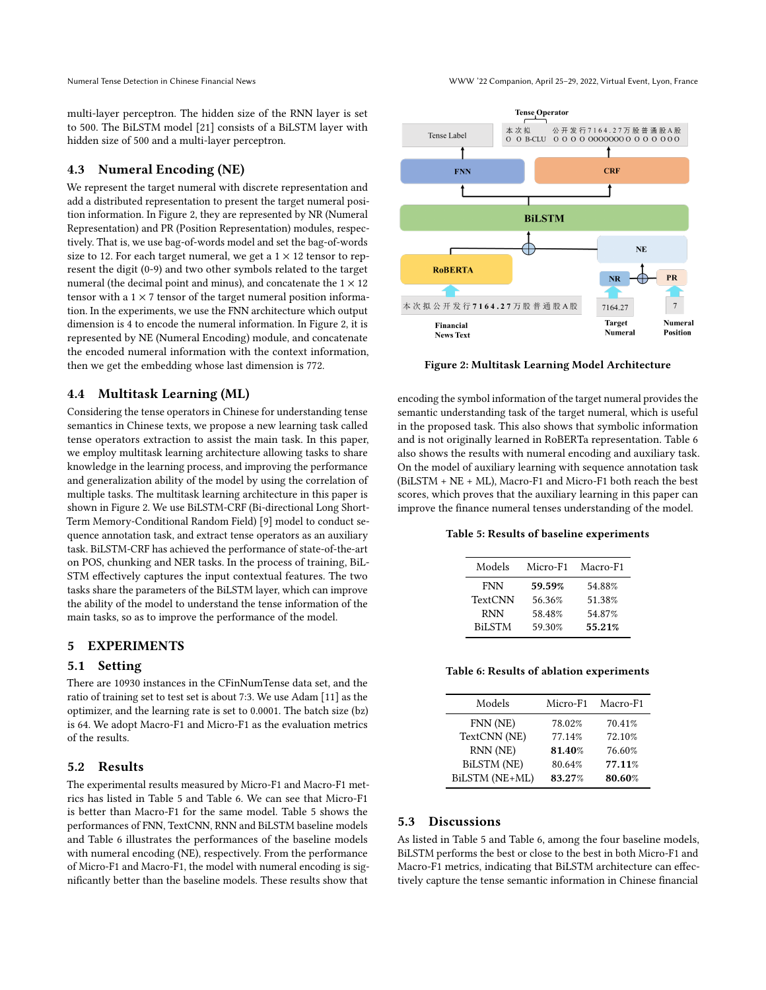Numeral Tense Detection in Chinese Financial News WWW '22 Companion, April 25–29, 2022, Virtual Event, Lyon, France

multi-layer perceptron. The hidden size of the RNN layer is set to 500. The BiLSTM model [\[21\]](#page-5-19) consists of a BiLSTM layer with hidden size of 500 and a multi-layer perceptron.

# 4.3 Numeral Encoding (NE)

We represent the target numeral with discrete representation and add a distributed representation to present the target numeral position information. In Figure 2, they are represented by NR (Numeral Representation) and PR (Position Representation) modules, respectively. That is, we use bag-of-words model and set the bag-of-words size to 12. For each target numeral, we get a  $1 \times 12$  tensor to represent the digit (0-9) and two other symbols related to the target numeral (the decimal point and minus), and concatenate the  $1 \times 12$ tensor with a  $1 \times 7$  tensor of the target numeral position information. In the experiments, we use the FNN architecture which output dimension is 4 to encode the numeral information. In Figure 2, it is represented by NE (Numeral Encoding) module, and concatenate the encoded numeral information with the context information, then we get the embedding whose last dimension is 772.

# 4.4 Multitask Learning (ML)

Considering the tense operators in Chinese for understanding tense semantics in Chinese texts, we propose a new learning task called tense operators extraction to assist the main task. In this paper, we employ multitask learning architecture allowing tasks to share knowledge in the learning process, and improving the performance and generalization ability of the model by using the correlation of multiple tasks. The multitask learning architecture in this paper is shown in Figure 2. We use BiLSTM-CRF (Bi-directional Long Short-Term Memory-Conditional Random Field) [\[9\]](#page-5-20) model to conduct sequence annotation task, and extract tense operators as an auxiliary task. BiLSTM-CRF has achieved the performance of state-of-the-art on POS, chunking and NER tasks. In the process of training, BiL-STM effectively captures the input contextual features. The two tasks share the parameters of the BiLSTM layer, which can improve the ability of the model to understand the tense information of the main tasks, so as to improve the performance of the model.

## 5 EXPERIMENTS

### 5.1 Setting

There are 10930 instances in the CFinNumTense data set, and the ratio of training set to test set is about 7:3. We use Adam [\[11\]](#page-5-21) as the optimizer, and the learning rate is set to 0.0001. The batch size (bz) is 64. We adopt Macro-F1 and Micro-F1 as the evaluation metrics of the results.

### 5.2 Results

The experimental results measured by Micro-F1 and Macro-F1 metrics has listed in Table 5 and Table 6. We can see that Micro-F1 is better than Macro-F1 for the same model. Table 5 shows the performances of FNN, TextCNN, RNN and BiLSTM baseline models and Table 6 illustrates the performances of the baseline models with numeral encoding (NE), respectively. From the performance of Micro-F1 and Macro-F1, the model with numeral encoding is significantly better than the baseline models. These results show that



Figure 2: Multitask Learning Model Architecture

encoding the symbol information of the target numeral provides the semantic understanding task of the target numeral, which is useful in the proposed task. This also shows that symbolic information and is not originally learned in RoBERTa representation. Table 6 also shows the results with numeral encoding and auxiliary task. On the model of auxiliary learning with sequence annotation task (BiLSTM + NE + ML), Macro-F1 and Micro-F1 both reach the best scores, which proves that the auxiliary learning in this paper can improve the finance numeral tenses understanding of the model.

### Table 5: Results of baseline experiments

| Micro-F1 | Macro-F1 |
|----------|----------|
| 59.59%   | 54.88%   |
| 56.36%   | 51.38%   |
| 58.48%   | 54.87%   |
| 59.30%   | 55.21%   |
|          |          |

Table 6: Results of ablation experiments

| Micro-F1 | Macro-F1 |
|----------|----------|
| 78.02%   | 70.41%   |
| 77.14%   | 72.10%   |
| 81.40%   | 76.60%   |
| 80.64%   | 77.11%   |
| 83.27%   | 80.60%   |
|          |          |

# 5.3 Discussions

As listed in Table 5 and Table 6, among the four baseline models, BiLSTM performs the best or close to the best in both Micro-F1 and Macro-F1 metrics, indicating that BiLSTM architecture can effectively capture the tense semantic information in Chinese financial